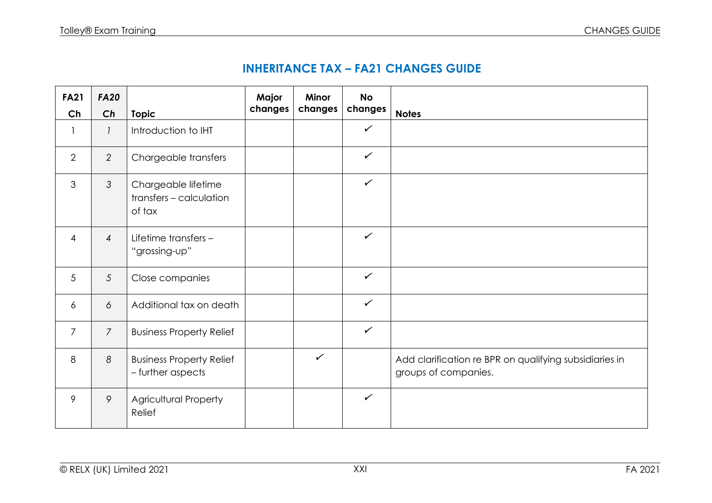| <b>INHERITANCE TAX - FA21 CHANGES GUIDE</b> |  |  |  |
|---------------------------------------------|--|--|--|
|---------------------------------------------|--|--|--|

| <b>FA21</b>     | <b>FA20</b>    |                                                          | Major<br>changes | Minor        | <b>No</b>    |                                                                                |
|-----------------|----------------|----------------------------------------------------------|------------------|--------------|--------------|--------------------------------------------------------------------------------|
| Ch              | Ch             | <b>Topic</b>                                             |                  | changes      | changes      | <b>Notes</b>                                                                   |
|                 | 1              | Introduction to IHT                                      |                  |              | $\checkmark$ |                                                                                |
| 2               | 2              | Chargeable transfers                                     |                  |              | $\checkmark$ |                                                                                |
| 3               | 3              | Chargeable lifetime<br>transfers - calculation<br>of tax |                  |              | $\checkmark$ |                                                                                |
| $\overline{4}$  | $\overline{4}$ | Lifetime transfers -<br>"grossing-up"                    |                  |              | $\checkmark$ |                                                                                |
| $5\overline{)}$ | $\mathfrak{S}$ | Close companies                                          |                  |              | $\checkmark$ |                                                                                |
| 6               | 6              | Additional tax on death                                  |                  |              | $\checkmark$ |                                                                                |
| $\overline{7}$  | $\overline{7}$ | <b>Business Property Relief</b>                          |                  |              | $\checkmark$ |                                                                                |
| 8               | 8              | <b>Business Property Relief</b><br>- further aspects     |                  | $\checkmark$ |              | Add clarification re BPR on qualifying subsidiaries in<br>groups of companies. |
| 9               | 9              | <b>Agricultural Property</b><br>Relief                   |                  |              | $\checkmark$ |                                                                                |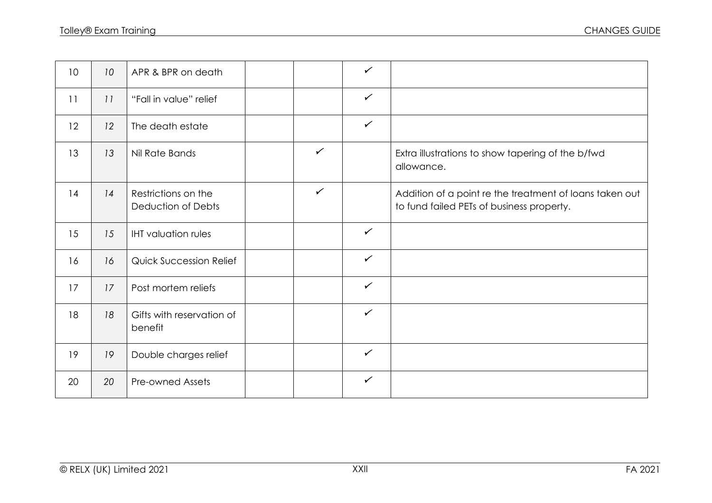| 10 | 10 | APR & BPR on death                        |              | $\checkmark$ |                                                                                                      |
|----|----|-------------------------------------------|--------------|--------------|------------------------------------------------------------------------------------------------------|
| 11 | 11 | "Fall in value" relief                    |              | $\checkmark$ |                                                                                                      |
| 12 | 12 | The death estate                          |              | $\checkmark$ |                                                                                                      |
| 13 | 13 | Nil Rate Bands                            | $\checkmark$ |              | Extra illustrations to show tapering of the b/fwd<br>allowance.                                      |
| 14 | 14 | Restrictions on the<br>Deduction of Debts | $\checkmark$ |              | Addition of a point re the treatment of loans taken out<br>to fund failed PETs of business property. |
| 15 | 15 | <b>IHT</b> valuation rules                |              | $\checkmark$ |                                                                                                      |
| 16 | 16 | <b>Quick Succession Relief</b>            |              | $\checkmark$ |                                                                                                      |
| 17 | 17 | Post mortem reliefs                       |              | $\checkmark$ |                                                                                                      |
| 18 | 18 | Gifts with reservation of<br>benefit      |              | $\checkmark$ |                                                                                                      |
| 19 | 19 | Double charges relief                     |              | $\checkmark$ |                                                                                                      |
| 20 | 20 | <b>Pre-owned Assets</b>                   |              | $\checkmark$ |                                                                                                      |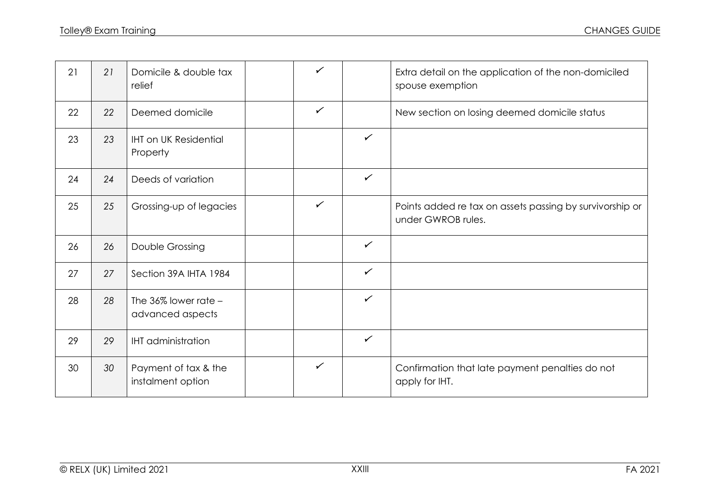| 21 | 21 | Domicile & double tax<br>relief               | ✓            |              | Extra detail on the application of the non-domiciled<br>spouse exemption       |
|----|----|-----------------------------------------------|--------------|--------------|--------------------------------------------------------------------------------|
| 22 | 22 | Deemed domicile                               | $\checkmark$ |              | New section on losing deemed domicile status                                   |
| 23 | 23 | <b>IHT on UK Residential</b><br>Property      |              | $\checkmark$ |                                                                                |
| 24 | 24 | Deeds of variation                            |              | $\checkmark$ |                                                                                |
| 25 | 25 | Grossing-up of legacies                       | $\checkmark$ |              | Points added re tax on assets passing by survivorship or<br>under GWROB rules. |
| 26 | 26 | Double Grossing                               |              | $\checkmark$ |                                                                                |
| 27 | 27 | Section 39A IHTA 1984                         |              | $\checkmark$ |                                                                                |
| 28 | 28 | The $36\%$ lower rate $-$<br>advanced aspects |              | $\checkmark$ |                                                                                |
| 29 | 29 | <b>IHT</b> administration                     |              | $\checkmark$ |                                                                                |
| 30 | 30 | Payment of tax & the<br>instalment option     | $\checkmark$ |              | Confirmation that late payment penalties do not<br>apply for IHT.              |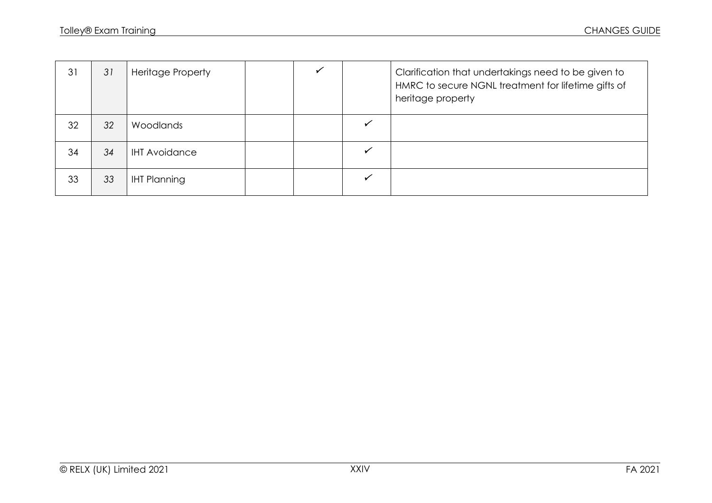| 31 | 31 | <b>Heritage Property</b> |  | Clarification that undertakings need to be given to<br>HMRC to secure NGNL treatment for lifetime gifts of<br>heritage property |
|----|----|--------------------------|--|---------------------------------------------------------------------------------------------------------------------------------|
| 32 | 32 | Woodlands                |  |                                                                                                                                 |
| 34 | 34 | <b>IHT Avoidance</b>     |  |                                                                                                                                 |
| 33 | 33 | <b>IHT Planning</b>      |  |                                                                                                                                 |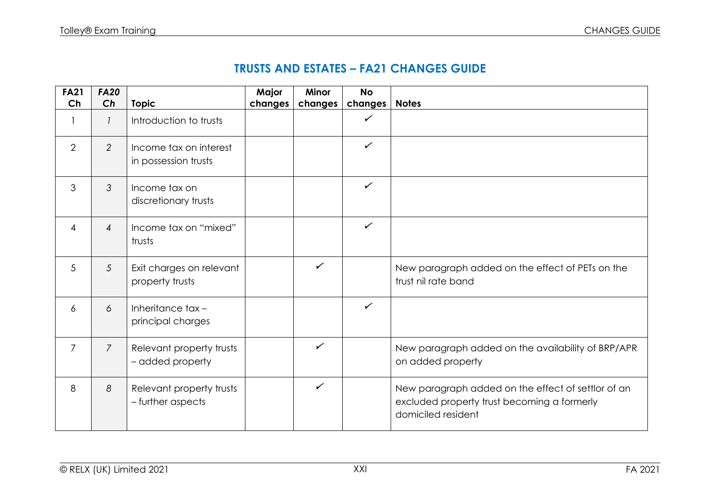## **TRUSTS AND ESTATES – FA21 CHANGES GUIDE**

| <b>FA21</b>    | <b>FA20</b>    |                                                | Major   | <b>Minor</b> | <b>No</b>    |                                                                                                                         |
|----------------|----------------|------------------------------------------------|---------|--------------|--------------|-------------------------------------------------------------------------------------------------------------------------|
| Ch             | Ch             | <b>Topic</b>                                   | changes | changes      | changes      | <b>Notes</b>                                                                                                            |
| 1              | 1              | Introduction to trusts                         |         |              | $\checkmark$ |                                                                                                                         |
| 2              | $\overline{2}$ | Income tax on interest<br>in possession trusts |         |              | $\checkmark$ |                                                                                                                         |
| 3              | 3              | Income tax on<br>discretionary trusts          |         |              | $\checkmark$ |                                                                                                                         |
| $\overline{4}$ | $\overline{4}$ | Income tax on "mixed"<br>trusts                |         |              | $\checkmark$ |                                                                                                                         |
| 5              | 5              | Exit charges on relevant<br>property trusts    |         | $\checkmark$ |              | New paragraph added on the effect of PETs on the<br>trust nil rate band                                                 |
| 6              | 6              | Inheritance tax-<br>principal charges          |         |              | $\checkmark$ |                                                                                                                         |
| $\overline{7}$ | $\overline{7}$ | Relevant property trusts<br>- added property   |         | $\checkmark$ |              | New paragraph added on the availability of BRP/APR<br>on added property                                                 |
| 8              | 8              | Relevant property trusts<br>- further aspects  |         | $\checkmark$ |              | New paragraph added on the effect of settlor of an<br>excluded property trust becoming a formerly<br>domiciled resident |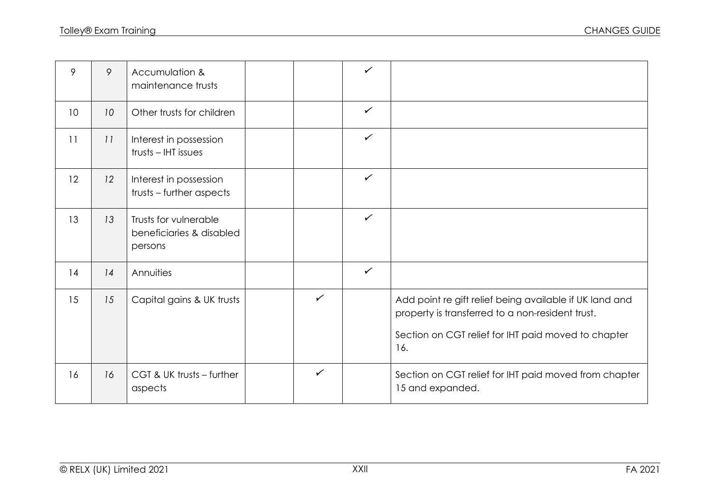| 9               | 9  | Accumulation &<br>maintenance trusts                         |              | $\checkmark$ |                                                                                                                                                                           |
|-----------------|----|--------------------------------------------------------------|--------------|--------------|---------------------------------------------------------------------------------------------------------------------------------------------------------------------------|
| 10 <sup>°</sup> | 10 | Other trusts for children                                    |              | $\checkmark$ |                                                                                                                                                                           |
| 11              | 11 | Interest in possession<br>trusts - IHT issues                |              | $\checkmark$ |                                                                                                                                                                           |
| 12              | 12 | Interest in possession<br>trusts – further aspects           |              | $\checkmark$ |                                                                                                                                                                           |
| 13              | 13 | Trusts for vulnerable<br>beneficiaries & disabled<br>persons |              | $\checkmark$ |                                                                                                                                                                           |
| 14              | 14 | Annuities                                                    |              | $\checkmark$ |                                                                                                                                                                           |
| 15              | 15 | Capital gains & UK trusts                                    | $\checkmark$ |              | Add point re gift relief being available if UK land and<br>property is transferred to a non-resident trust.<br>Section on CGT relief for IHT paid moved to chapter<br>16. |
| 16              | 16 | CGT & UK trusts - further<br>aspects                         | $\checkmark$ |              | Section on CGT relief for IHT paid moved from chapter<br>15 and expanded.                                                                                                 |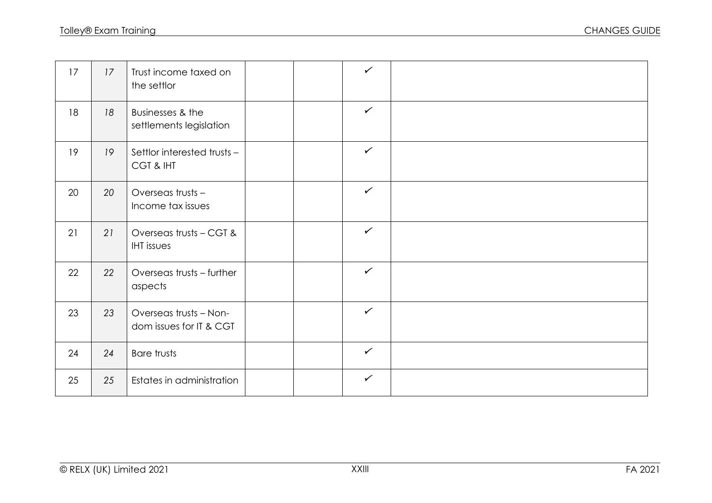| 17 | 17 | Trust income taxed on<br>the settlor              |  | $\checkmark$ |  |
|----|----|---------------------------------------------------|--|--------------|--|
| 18 | 18 | Businesses & the<br>settlements legislation       |  | $\checkmark$ |  |
| 19 | 19 | Settlor interested trusts -<br>CGT & IHT          |  | $\checkmark$ |  |
| 20 | 20 | Overseas trusts -<br>Income tax issues            |  | $\checkmark$ |  |
| 21 | 21 | Overseas trusts - CGT &<br><b>IHT</b> issues      |  | $\checkmark$ |  |
| 22 | 22 | Overseas trusts - further<br>aspects              |  | $\checkmark$ |  |
| 23 | 23 | Overseas trusts - Non-<br>dom issues for IT & CGT |  | $\checkmark$ |  |
| 24 | 24 | Bare trusts                                       |  | $\checkmark$ |  |
| 25 | 25 | Estates in administration                         |  | $\checkmark$ |  |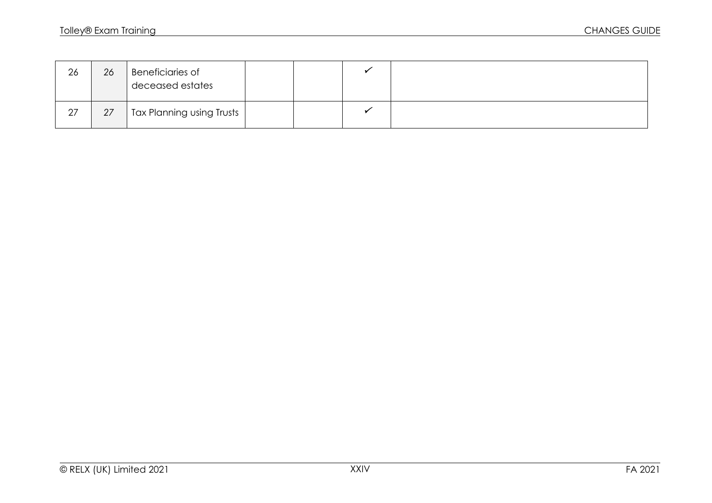| 26 | 26 | <b>Beneficiaries of</b><br>deceased estates |  |  |
|----|----|---------------------------------------------|--|--|
| 27 | 27 | Tax Planning using Trusts                   |  |  |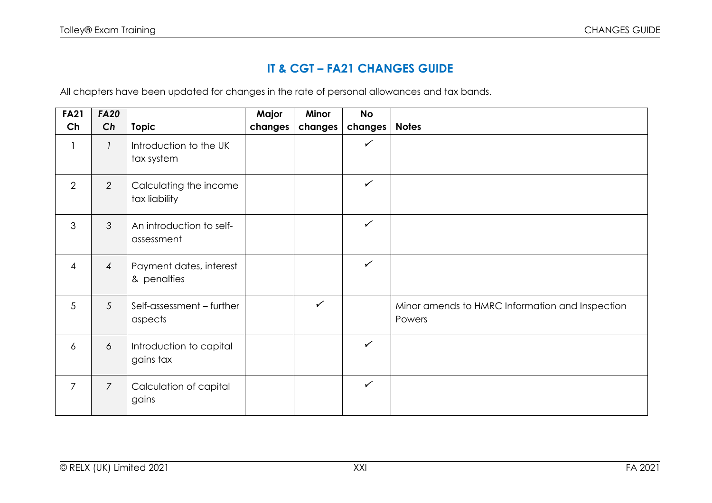## **IT & CGT – FA21 CHANGES GUIDE**

All chapters have been updated for changes in the rate of personal allowances and tax bands.

| <b>FA21</b>    | <b>FA20</b>     |                                         | Major   | Minor        | <b>No</b>    |                                                           |
|----------------|-----------------|-----------------------------------------|---------|--------------|--------------|-----------------------------------------------------------|
| Ch             | Ch              | <b>Topic</b>                            | changes | changes      | changes      | <b>Notes</b>                                              |
|                |                 | Introduction to the UK<br>tax system    |         |              | $\checkmark$ |                                                           |
| $\overline{2}$ | $\overline{2}$  | Calculating the income<br>tax liability |         |              | $\checkmark$ |                                                           |
| $\mathfrak{S}$ | 3               | An introduction to self-<br>assessment  |         |              | $\checkmark$ |                                                           |
| 4              | $\overline{4}$  | Payment dates, interest<br>& penalties  |         |              | $\checkmark$ |                                                           |
| 5              | $5\overline{)}$ | Self-assessment - further<br>aspects    |         | $\checkmark$ |              | Minor amends to HMRC Information and Inspection<br>Powers |
| 6              | 6               | Introduction to capital<br>gains tax    |         |              | $\checkmark$ |                                                           |
| $\overline{7}$ | $\overline{7}$  | Calculation of capital<br>gains         |         |              | $\checkmark$ |                                                           |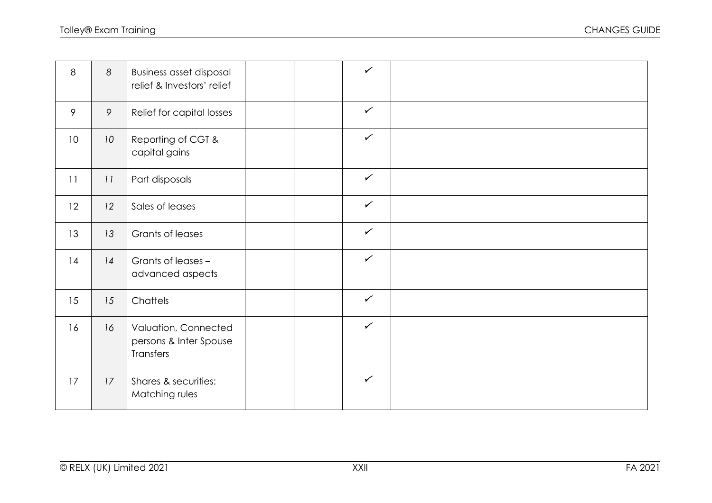| 8  | 8  | <b>Business asset disposal</b><br>relief & Investors' relief |  | $\checkmark$ |  |
|----|----|--------------------------------------------------------------|--|--------------|--|
| 9  | 9  | Relief for capital losses                                    |  | $\checkmark$ |  |
| 10 | 10 | Reporting of CGT &<br>capital gains                          |  | $\checkmark$ |  |
| 11 | 11 | Part disposals                                               |  | $\checkmark$ |  |
| 12 | 12 | Sales of leases                                              |  | $\checkmark$ |  |
| 13 | 13 | Grants of leases                                             |  | $\checkmark$ |  |
| 14 | 14 | Grants of leases -<br>advanced aspects                       |  | $\checkmark$ |  |
| 15 | 15 | Chattels                                                     |  | $\checkmark$ |  |
| 16 | 16 | Valuation, Connected<br>persons & Inter Spouse<br>Transfers  |  | $\checkmark$ |  |
| 17 | 17 | Shares & securities:<br>Matching rules                       |  | $\checkmark$ |  |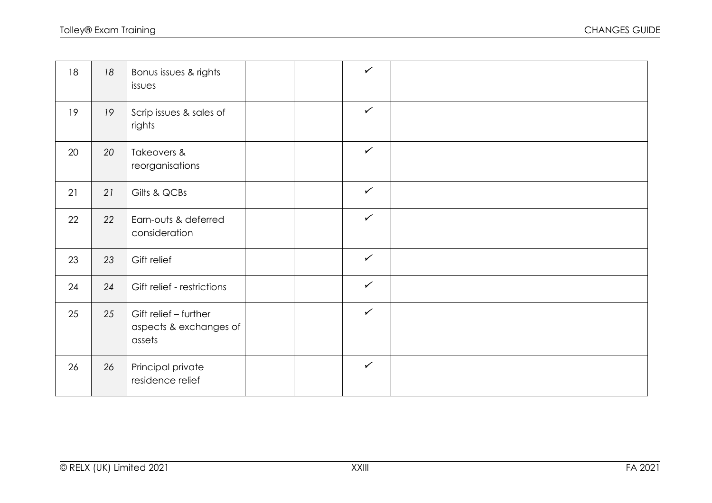| 18 | 18 | Bonus issues & rights<br>issues                           |  | $\checkmark$ |  |
|----|----|-----------------------------------------------------------|--|--------------|--|
| 19 | 19 | Scrip issues & sales of<br>rights                         |  | $\checkmark$ |  |
| 20 | 20 | Takeovers &<br>reorganisations                            |  | $\checkmark$ |  |
| 21 | 21 | Gilts & QCBs                                              |  | $\checkmark$ |  |
| 22 | 22 | Earn-outs & deferred<br>consideration                     |  | $\checkmark$ |  |
| 23 | 23 | Gift relief                                               |  | $\checkmark$ |  |
| 24 | 24 | Gift relief - restrictions                                |  | $\checkmark$ |  |
| 25 | 25 | Gift relief - further<br>aspects & exchanges of<br>assets |  | $\checkmark$ |  |
| 26 | 26 | Principal private<br>residence relief                     |  | $\checkmark$ |  |